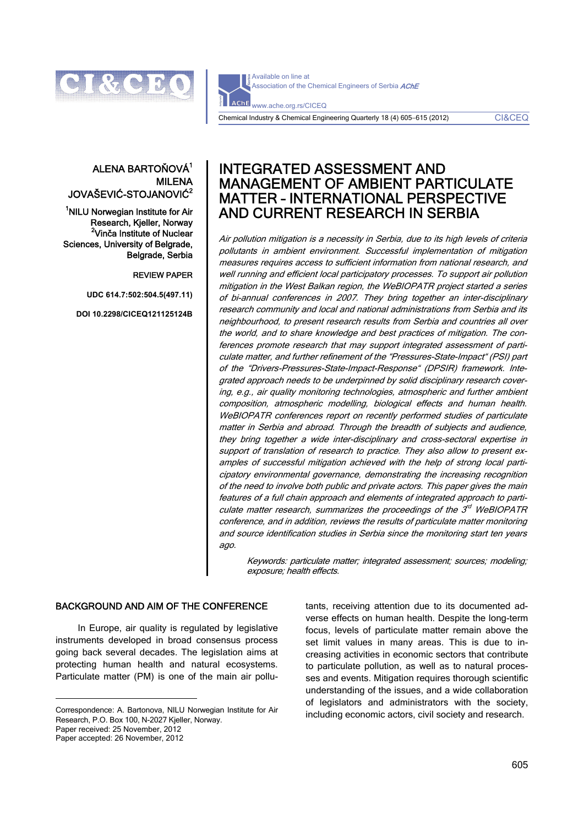

Available on line at Association of the Chemical Engineers of Serbia AChE **AChE** www.ache.org.rs/CICEQ

Chemical Industry & Chemical Engineering Quarterly 18 (4) 605−615 (2012) CI&CEQ

# ALENA BARTOŇOVÁ<sup>1</sup> MILENA JOVAŠEVIĆ-STOJANOVIĆ<sup>2</sup>

<sup>1</sup>NILU Norwegian Institute for Air Research, Kjeller, Norway <sup>2</sup>Vinča Institute of Nuclear Sciences, University of Belgrade, Belgrade, Serbia

#### REVIEW PAPER

**UDC 614.7:502:504.5(497.11)** 

**DOI 10.2298/CICEQ121125124B** 

# INTEGRATED ASSESSMENT AND MANAGEMENT OF AMBIENT PARTICULATE MATTER – INTERNATIONAL PERSPECTIVE AND CURRENT RESEARCH IN SERBIA

Air pollution mitigation is a necessity in Serbia, due to its high levels of criteria pollutants in ambient environment. Successful implementation of mitigation measures requires access to sufficient information from national research, and well running and efficient local participatory processes. To support air pollution mitigation in the West Balkan region, the WeBIOPATR project started a series of bi-annual conferences in 2007. They bring together an inter-disciplinary research community and local and national administrations from Serbia and its neighbourhood, to present research results from Serbia and countries all over the world, and to share knowledge and best practices of mitigation. The conferences promote research that may support integrated assessment of particulate matter, and further refinement of the "Pressures-State-Impact" (PSI) part of the "Drivers-Pressures-State-Impact-Response" (DPSIR) framework. Integrated approach needs to be underpinned by solid disciplinary research covering, e.g., air quality monitoring technologies, atmospheric and further ambient composition, atmospheric modelling, biological effects and human health. WeBIOPATR conferences report on recently performed studies of particulate matter in Serbia and abroad. Through the breadth of subjects and audience, they bring together a wide inter-disciplinary and cross-sectoral expertise in support of translation of research to practice. They also allow to present examples of successful mitigation achieved with the help of strong local participatory environmental governance, demonstrating the increasing recognition of the need to involve both public and private actors. This paper gives the main features of a full chain approach and elements of integrated approach to particulate matter research, summarizes the proceedings of the  $3<sup>d</sup>$  WeBIOPATR conference, and in addition, reviews the results of particulate matter monitoring and source identification studies in Serbia since the monitoring start ten years ago.

Keywords: particulate matter; integrated assessment; sources; modeling; exposure; health effects.

#### BACKGROUND AND AIM OF THE CONFERENCE

In Europe, air quality is regulated by legislative instruments developed in broad consensus process going back several decades. The legislation aims at protecting human health and natural ecosystems. Particulate matter (PM) is one of the main air pollu-

 $\overline{a}$ 

tants, receiving attention due to its documented adverse effects on human health. Despite the long-term focus, levels of particulate matter remain above the set limit values in many areas. This is due to increasing activities in economic sectors that contribute to particulate pollution, as well as to natural processes and events. Mitigation requires thorough scientific understanding of the issues, and a wide collaboration of legislators and administrators with the society, including economic actors, civil society and research.

Correspondence: A. Bartonova, NILU Norwegian Institute for Air Research, P.O. Box 100, N-2027 Kjeller, Norway. Paper received: 25 November, 2012 Paper accepted: 26 November, 2012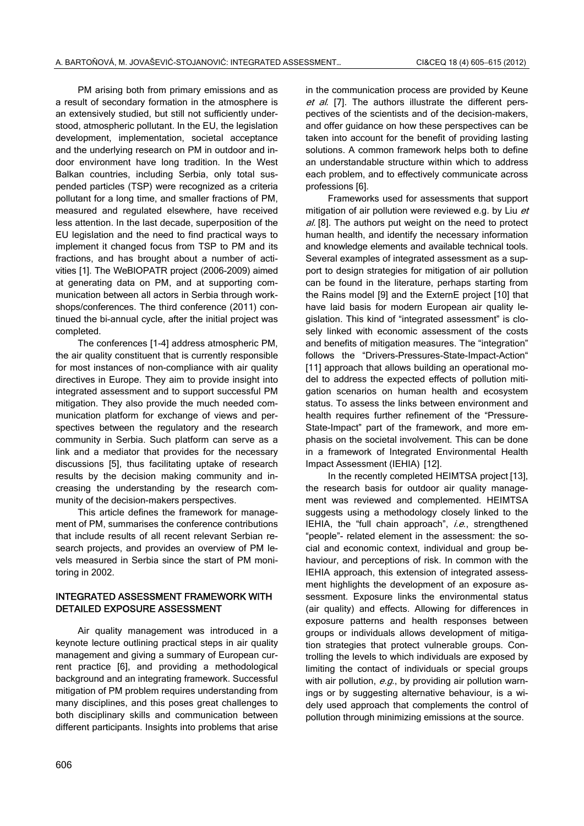PM arising both from primary emissions and as a result of secondary formation in the atmosphere is an extensively studied, but still not sufficiently understood, atmospheric pollutant. In the EU, the legislation development, implementation, societal acceptance and the underlying research on PM in outdoor and indoor environment have long tradition. In the West Balkan countries, including Serbia, only total suspended particles (TSP) were recognized as a criteria pollutant for a long time, and smaller fractions of PM, measured and regulated elsewhere, have received less attention. In the last decade, superposition of the EU legislation and the need to find practical ways to implement it changed focus from TSP to PM and its fractions, and has brought about a number of activities [1]. The WeBIOPATR project (2006-2009) aimed at generating data on PM, and at supporting communication between all actors in Serbia through workshops/conferences. The third conference (2011) continued the bi-annual cycle, after the initial project was completed.

The conferences [1-4] address atmospheric PM, the air quality constituent that is currently responsible for most instances of non-compliance with air quality directives in Europe. They aim to provide insight into integrated assessment and to support successful PM mitigation. They also provide the much needed communication platform for exchange of views and perspectives between the regulatory and the research community in Serbia. Such platform can serve as a link and a mediator that provides for the necessary discussions [5], thus facilitating uptake of research results by the decision making community and increasing the understanding by the research community of the decision-makers perspectives.

This article defines the framework for management of PM, summarises the conference contributions that include results of all recent relevant Serbian research projects, and provides an overview of PM levels measured in Serbia since the start of PM monitoring in 2002.

## INTEGRATED ASSESSMENT FRAMEWORK WITH DETAILED EXPOSURE ASSESSMENT

Air quality management was introduced in a keynote lecture outlining practical steps in air quality management and giving a summary of European current practice [6], and providing a methodological background and an integrating framework. Successful mitigation of PM problem requires understanding from many disciplines, and this poses great challenges to both disciplinary skills and communication between different participants. Insights into problems that arise in the communication process are provided by Keune et al. [7]. The authors illustrate the different perspectives of the scientists and of the decision-makers, and offer guidance on how these perspectives can be taken into account for the benefit of providing lasting solutions. A common framework helps both to define an understandable structure within which to address each problem, and to effectively communicate across professions [6].

Frameworks used for assessments that support mitigation of air pollution were reviewed e.g. by Liu et al. [8]. The authors put weight on the need to protect human health, and identify the necessary information and knowledge elements and available technical tools. Several examples of integrated assessment as a support to design strategies for mitigation of air pollution can be found in the literature, perhaps starting from the Rains model [9] and the ExternE project [10] that have laid basis for modern European air quality legislation. This kind of "integrated assessment" is closely linked with economic assessment of the costs and benefits of mitigation measures. The "integration" follows the "Drivers-Pressures-State-Impact-Action" [11] approach that allows building an operational model to address the expected effects of pollution mitigation scenarios on human health and ecosystem status. To assess the links between environment and health requires further refinement of the "Pressure-State-Impact" part of the framework, and more emphasis on the societal involvement. This can be done in a framework of Integrated Environmental Health Impact Assessment (IEHIA) [12].

In the recently completed HEIMTSA project [13], the research basis for outdoor air quality management was reviewed and complemented. HEIMTSA suggests using a methodology closely linked to the IEHIA, the "full chain approach", i.e., strengthened "people"- related element in the assessment: the social and economic context, individual and group behaviour, and perceptions of risk. In common with the IEHIA approach, this extension of integrated assessment highlights the development of an exposure assessment. Exposure links the environmental status (air quality) and effects. Allowing for differences in exposure patterns and health responses between groups or individuals allows development of mitigation strategies that protect vulnerable groups. Controlling the levels to which individuals are exposed by limiting the contact of individuals or special groups with air pollution,  $e.g.$ , by providing air pollution warnings or by suggesting alternative behaviour, is a widely used approach that complements the control of pollution through minimizing emissions at the source.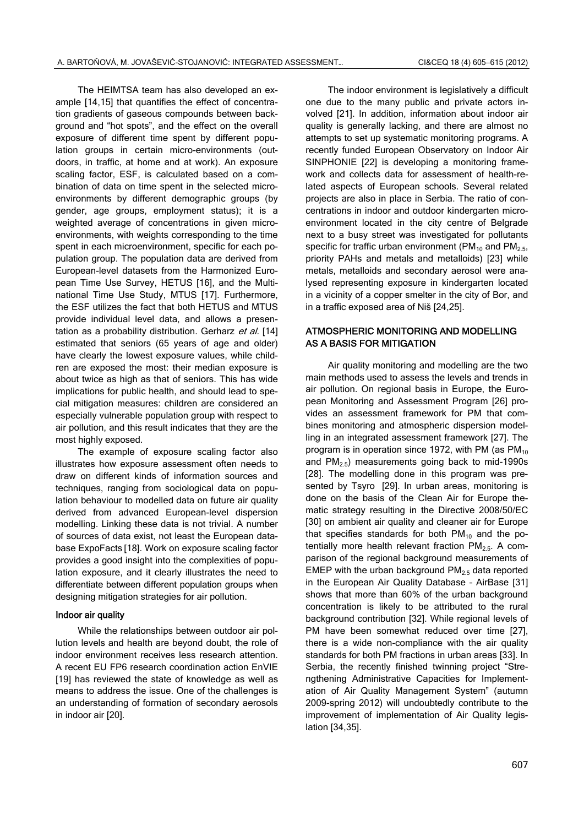The HEIMTSA team has also developed an example [14,15] that quantifies the effect of concentration gradients of gaseous compounds between background and "hot spots", and the effect on the overall exposure of different time spent by different population groups in certain micro-environments (outdoors, in traffic, at home and at work). An exposure scaling factor, ESF, is calculated based on a combination of data on time spent in the selected microenvironments by different demographic groups (by gender, age groups, employment status); it is a weighted average of concentrations in given microenvironments, with weights corresponding to the time spent in each microenvironment, specific for each population group. The population data are derived from European-level datasets from the Harmonized European Time Use Survey, HETUS [16], and the Multinational Time Use Study, MTUS [17]. Furthermore, the ESF utilizes the fact that both HETUS and MTUS provide individual level data, and allows a presentation as a probability distribution. Gerharz et al. [14] estimated that seniors (65 years of age and older) have clearly the lowest exposure values, while children are exposed the most: their median exposure is about twice as high as that of seniors. This has wide implications for public health, and should lead to special mitigation measures: children are considered an especially vulnerable population group with respect to air pollution, and this result indicates that they are the most highly exposed.

The example of exposure scaling factor also illustrates how exposure assessment often needs to draw on different kinds of information sources and techniques, ranging from sociological data on population behaviour to modelled data on future air quality derived from advanced European-level dispersion modelling. Linking these data is not trivial. A number of sources of data exist, not least the European database ExpoFacts [18]. Work on exposure scaling factor provides a good insight into the complexities of population exposure, and it clearly illustrates the need to differentiate between different population groups when designing mitigation strategies for air pollution.

#### Indoor air quality

While the relationships between outdoor air pollution levels and health are beyond doubt, the role of indoor environment receives less research attention. A recent EU FP6 research coordination action EnVIE [19] has reviewed the state of knowledge as well as means to address the issue. One of the challenges is an understanding of formation of secondary aerosols in indoor air [20].

The indoor environment is legislatively a difficult one due to the many public and private actors involved [21]. In addition, information about indoor air quality is generally lacking, and there are almost no attempts to set up systematic monitoring programs. A recently funded European Observatory on Indoor Air SINPHONIE [22] is developing a monitoring framework and collects data for assessment of health-related aspects of European schools. Several related projects are also in place in Serbia. The ratio of concentrations in indoor and outdoor kindergarten microenvironment located in the city centre of Belgrade next to a busy street was investigated for pollutants specific for traffic urban environment ( $PM_{10}$  and  $PM_{2.5}$ , priority PAHs and metals and metalloids) [23] while metals, metalloids and secondary aerosol were analysed representing exposure in kindergarten located in a vicinity of a copper smelter in the city of Bor, and in a traffic exposed area of Niš [24,25].

# ATMOSPHERIC MONITORING AND MODELLING AS A BASIS FOR MITIGATION

Air quality monitoring and modelling are the two main methods used to assess the levels and trends in air pollution. On regional basis in Europe, the European Monitoring and Assessment Program [26] provides an assessment framework for PM that combines monitoring and atmospheric dispersion modelling in an integrated assessment framework [27]. The program is in operation since 1972, with PM (as  $PM_{10}$ ) and PM2.5) measurements going back to mid-1990s [28]. The modelling done in this program was presented by Tsyro [29]. In urban areas, monitoring is done on the basis of the Clean Air for Europe thematic strategy resulting in the Directive 2008/50/EC [30] on ambient air quality and cleaner air for Europe that specifies standards for both  $PM_{10}$  and the potentially more health relevant fraction  $PM<sub>2.5</sub>$ . A comparison of the regional background measurements of EMEP with the urban background  $PM<sub>2.5</sub>$  data reported in the European Air Quality Database – AirBase [31] shows that more than 60% of the urban background concentration is likely to be attributed to the rural background contribution [32]. While regional levels of PM have been somewhat reduced over time [27], there is a wide non-compliance with the air quality standards for both PM fractions in urban areas [33]. In Serbia, the recently finished twinning project "Strengthening Administrative Capacities for Implementation of Air Quality Management System" (autumn 2009-spring 2012) will undoubtedly contribute to the improvement of implementation of Air Quality legislation [34,35].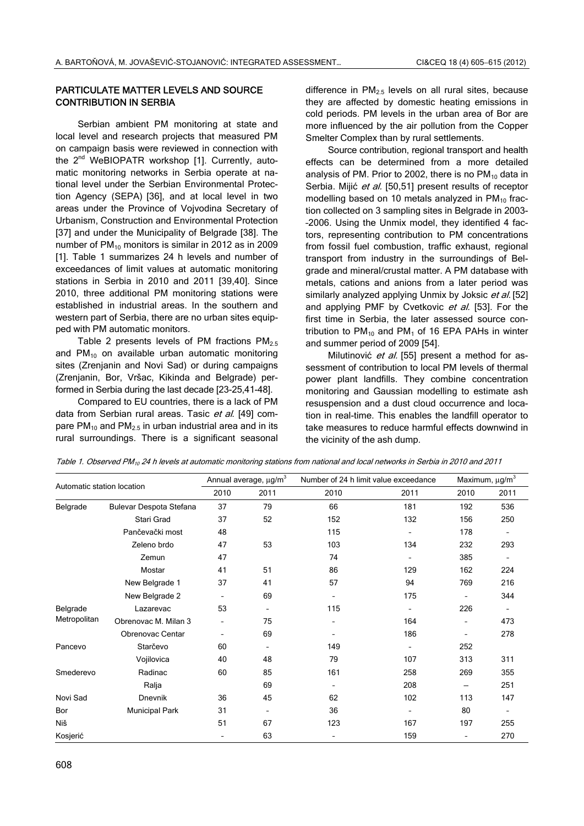## PARTICULATE MATTER LEVELS AND SOURCE CONTRIBUTION IN SERBIA

Serbian ambient PM monitoring at state and local level and research projects that measured PM on campaign basis were reviewed in connection with the 2<sup>nd</sup> WeBIOPATR workshop [1]. Currently, automatic monitoring networks in Serbia operate at national level under the Serbian Environmental Protection Agency (SEPA) [36], and at local level in two areas under the Province of Vojvodina Secretary of Urbanism, Construction and Environmental Protection [37] and under the Municipality of Belgrade [38]. The number of  $PM_{10}$  monitors is similar in 2012 as in 2009 [1]. Table 1 summarizes 24 h levels and number of exceedances of limit values at automatic monitoring stations in Serbia in 2010 and 2011 [39,40]. Since 2010, three additional PM monitoring stations were established in industrial areas. In the southern and western part of Serbia, there are no urban sites equipped with PM automatic monitors.

Table 2 presents levels of PM fractions  $PM_{2.5}$ and  $PM_{10}$  on available urban automatic monitoring sites (Zrenjanin and Novi Sad) or during campaigns (Zrenjanin, Bor, Vršac, Kikinda and Belgrade) performed in Serbia during the last decade [23-25,41-48].

Compared to EU countries, there is a lack of PM data from Serbian rural areas. Tasic et al. [49] compare PM<sub>10</sub> and PM<sub>2.5</sub> in urban industrial area and in its rural surroundings. There is a significant seasonal difference in  $PM<sub>2.5</sub>$  levels on all rural sites, because they are affected by domestic heating emissions in cold periods. PM levels in the urban area of Bor are more influenced by the air pollution from the Copper Smelter Complex than by rural settlements.

Source contribution, regional transport and health effects can be determined from a more detailed analysis of PM. Prior to 2002, there is no  $PM_{10}$  data in Serbia. Mijić et al. [50,51] present results of receptor modelling based on 10 metals analyzed in  $PM_{10}$  fraction collected on 3 sampling sites in Belgrade in 2003- –2006. Using the Unmix model, they identified 4 factors, representing contribution to PM concentrations from fossil fuel combustion, traffic exhaust, regional transport from industry in the surroundings of Belgrade and mineral/crustal matter. A PM database with metals, cations and anions from a later period was similarly analyzed applying Unmix by Joksic et al. [52] and applying PMF by Cvetkovic et al. [53]. For the first time in Serbia, the later assessed source contribution to  $PM_{10}$  and  $PM_1$  of 16 EPA PAHs in winter and summer period of 2009 [54].

Milutinović et al. [55] present a method for assessment of contribution to local PM levels of thermal power plant landfills. They combine concentration monitoring and Gaussian modelling to estimate ash resuspension and a dust cloud occurrence and location in real-time. This enables the landfill operator to take measures to reduce harmful effects downwind in the vicinity of the ash dump.

| Automatic station location |                         | Annual average, µg/m <sup>3</sup> |                          | Number of 24 h limit value exceedance |                          | Maximum, $\mu g/m^3$ |                          |
|----------------------------|-------------------------|-----------------------------------|--------------------------|---------------------------------------|--------------------------|----------------------|--------------------------|
|                            |                         | 2010                              | 2011                     | 2010                                  | 2011                     | 2010                 | 2011                     |
| Belgrade                   | Bulevar Despota Stefana | 37                                | 79                       | 66                                    | 181                      | 192                  | 536                      |
|                            | Stari Grad              | 37                                | 52                       | 152                                   | 132                      | 156                  | 250                      |
|                            | Pančevački most         | 48                                |                          | 115                                   |                          | 178                  |                          |
|                            | Zeleno brdo             | 47                                | 53                       | 103                                   | 134                      | 232                  | 293                      |
|                            | Zemun                   | 47                                |                          | 74                                    |                          | 385                  |                          |
|                            | Mostar                  | 41                                | 51                       | 86                                    | 129                      | 162                  | 224                      |
|                            | New Belgrade 1          | 37                                | 41                       | 57                                    | 94                       | 769                  | 216                      |
|                            | New Belgrade 2          | $\overline{\phantom{a}}$          | 69                       | $\overline{\phantom{0}}$              | 175                      |                      | 344                      |
| Belgrade                   | Lazarevac               | 53                                | $\overline{\phantom{a}}$ | 115                                   | $\overline{\phantom{0}}$ | 226                  | $\overline{\phantom{0}}$ |
| Metropolitan               | Obrenovac M. Milan 3    | $\overline{\phantom{a}}$          | 75                       |                                       | 164                      |                      | 473                      |
|                            | Obrenovac Centar        | $\overline{\phantom{a}}$          | 69                       | $\overline{\phantom{0}}$              | 186                      |                      | 278                      |
| Pancevo                    | Starčevo                | 60                                | $\overline{\phantom{a}}$ | 149                                   |                          | 252                  |                          |
|                            | Vojilovica              | 40                                | 48                       | 79                                    | 107                      | 313                  | 311                      |
| Smederevo                  | Radinac                 | 60                                | 85                       | 161                                   | 258                      | 269                  | 355                      |
|                            | Ralja                   |                                   | 69                       |                                       | 208                      |                      | 251                      |
| Novi Sad                   | Dnevnik                 | 36                                | 45                       | 62                                    | 102                      | 113                  | 147                      |
| Bor                        | <b>Municipal Park</b>   | 31                                | $\overline{\phantom{a}}$ | 36                                    |                          | 80                   | $\overline{\phantom{a}}$ |
| Niš                        |                         | 51                                | 67                       | 123                                   | 167                      | 197                  | 255                      |
| Kosjerić                   |                         |                                   | 63                       |                                       | 159                      |                      | 270                      |

Table 1. Observed PM<sub>10</sub> 24 h levels at automatic monitoring stations from national and local networks in Serbia in 2010 and 2011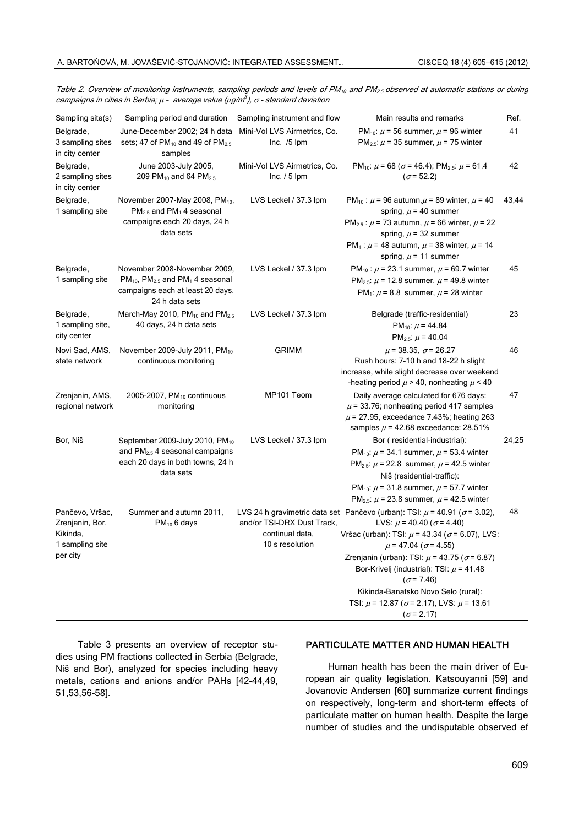| Sampling site(s)                                                              | Sampling period and duration                                                                                                       | Sampling instrument and flow                                     | Main results and remarks                                                                                                                                                                                                                                                                                                                                                                                 | Ref.  |
|-------------------------------------------------------------------------------|------------------------------------------------------------------------------------------------------------------------------------|------------------------------------------------------------------|----------------------------------------------------------------------------------------------------------------------------------------------------------------------------------------------------------------------------------------------------------------------------------------------------------------------------------------------------------------------------------------------------------|-------|
|                                                                               |                                                                                                                                    |                                                                  |                                                                                                                                                                                                                                                                                                                                                                                                          |       |
| Belgrade,<br>3 sampling sites<br>in city center                               | June-December 2002; 24 h data<br>sets; 47 of $PM_{10}$ and 49 of $PM_{2.5}$<br>samples                                             | Mini-Vol LVS Airmetrics, Co.<br>Inc. $/5$ lpm                    | PM <sub>10</sub> : $\mu$ = 56 summer, $\mu$ = 96 winter<br>PM <sub>2.5</sub> : $\mu$ = 35 summer, $\mu$ = 75 winter                                                                                                                                                                                                                                                                                      | 41    |
| Belgrade,<br>2 sampling sites<br>in city center                               | June 2003-July 2005,<br>209 PM <sub>10</sub> and 64 PM <sub>2.5</sub>                                                              | Mini-Vol LVS Airmetrics, Co.<br>$Inc. / 5$ lpm                   | PM <sub>10</sub> : $\mu$ = 68 ( $\sigma$ = 46.4); PM <sub>2.5</sub> : $\mu$ = 61.4<br>$(\sigma = 52.2)$                                                                                                                                                                                                                                                                                                  | 42    |
| Belgrade,<br>1 sampling site                                                  | November 2007-May 2008, PM <sub>10</sub> ,<br>$PM2.5$ and PM <sub>1</sub> 4 seasonal<br>campaigns each 20 days, 24 h<br>data sets  | LVS Leckel / 37.3 lpm                                            | PM <sub>10</sub> : $\mu$ = 96 autumn, $\mu$ = 89 winter, $\mu$ = 40<br>spring, $\mu$ = 40 summer<br>PM <sub>2.5</sub> : $\mu$ = 73 autumn, $\mu$ = 66 winter, $\mu$ = 22<br>spring, $\mu$ = 32 summer<br>PM <sub>1</sub> : $\mu$ = 48 autumn, $\mu$ = 38 winter, $\mu$ = 14<br>spring, $\mu$ = 11 summer                                                                                                 | 43,44 |
| Belgrade,<br>1 sampling site                                                  | November 2008-November 2009,<br>$PM_{10}$ , $PM_{2.5}$ and $PM_1$ 4 seasonal<br>campaigns each at least 20 days,<br>24 h data sets | LVS Leckel / 37.3 lpm                                            | PM <sub>10</sub> : $\mu$ = 23.1 summer, $\mu$ = 69.7 winter<br>PM <sub>2.5</sub> : $\mu$ = 12.8 summer, $\mu$ = 49.8 winter<br>PM <sub>1</sub> : $\mu$ = 8.8 summer, $\mu$ = 28 winter                                                                                                                                                                                                                   | 45    |
| Belgrade,<br>1 sampling site,<br>city center                                  | March-May 2010, $PM_{10}$ and $PM_{2.5}$<br>40 days, 24 h data sets                                                                | LVS Leckel / 37.3 lpm                                            | Belgrade (traffic-residential)<br>PM <sub>10</sub> : $\mu$ = 44.84<br>PM <sub>2.5</sub> : $\mu$ = 40.04                                                                                                                                                                                                                                                                                                  | 23    |
| Novi Sad, AMS,<br>state network                                               | November 2009-July 2011, $PM_{10}$<br>continuous monitoring                                                                        | <b>GRIMM</b>                                                     | $\mu$ = 38.35, $\sigma$ = 26.27<br>Rush hours: 7-10 h and 18-22 h slight<br>increase, while slight decrease over weekend<br>-heating period $\mu$ > 40, nonheating $\mu$ < 40                                                                                                                                                                                                                            | 46    |
| Zrenjanin, AMS,<br>regional network                                           | 2005-2007, $PM_{10}$ continuous<br>monitoring                                                                                      | MP101 Teom                                                       | Daily average calculated for 676 days:<br>$\mu$ = 33.76; nonheating period 417 samples<br>$\mu$ = 27.95, exceedance 7.43%; heating 263<br>samples $\mu$ = 42.68 exceedance: 28.51%                                                                                                                                                                                                                       | 47    |
| Bor, Niš                                                                      | September 2009-July 2010, $PM_{10}$<br>and PM <sub>2.5</sub> 4 seasonal campaigns<br>each 20 days in both towns, 24 h<br>data sets | LVS Leckel / 37.3 lpm                                            | Bor (residential-industrial):<br>PM <sub>10</sub> : $\mu$ = 34.1 summer, $\mu$ = 53.4 winter<br>PM <sub>2.5</sub> : $\mu$ = 22.8 summer, $\mu$ = 42.5 winter<br>Niš (residential-traffic):<br>PM <sub>10</sub> : $\mu$ = 31.8 summer, $\mu$ = 57.7 winter<br>PM <sub>2.5</sub> : $\mu$ = 23.8 summer, $\mu$ = 42.5 winter                                                                                | 24,25 |
| Pančevo, Vršac,<br>Zrenjanin, Bor,<br>Kikinda,<br>1 sampling site<br>per city | Summer and autumn 2011,<br>$PM_{10}$ 6 days                                                                                        | and/or TSI-DRX Dust Track,<br>continual data,<br>10 s resolution | LVS 24 h gravimetric data set Pančevo (urban): TSI: $\mu$ = 40.91 ( $\sigma$ = 3.02),<br>LVS: $\mu$ = 40.40 ( $\sigma$ = 4.40)<br>Vršac (urban): TSI: $\mu$ = 43.34 ( $\sigma$ = 6.07), LVS:<br>$\mu$ = 47.04 ( $\sigma$ = 4.55)<br>Zrenjanin (urban): TSI: $\mu$ = 43.75 ( $\sigma$ = 6.87)<br>Bor-Krivelj (industrial): TSI: $\mu$ = 41.48<br>$(\sigma$ = 7.46)<br>Kikinda-Banatsko Novo Selo (rural): | 48    |
|                                                                               |                                                                                                                                    |                                                                  | TSI: $\mu$ = 12.87 ( $\sigma$ = 2.17), LVS: $\mu$ = 13.61<br>$(\sigma = 2.17)$                                                                                                                                                                                                                                                                                                                           |       |

Table 2. Overview of monitoring instruments, sampling periods and levels of PM<sub>10</sub> and PM<sub>2.5</sub> observed at automatic stations or during campaigns in cities in Serbia;  $\mu$  - average value ( $\mu$ g/m<sup>3</sup>),  $\sigma$  - standard deviation

Table 3 presents an overview of receptor studies using PM fractions collected in Serbia (Belgrade, Niš and Bor), analyzed for species including heavy metals, cations and anions and/or PAHs [42-44,49, 51,53,56-58].

### PARTICULATE MATTER AND HUMAN HEALTH

Human health has been the main driver of European air quality legislation. Katsouyanni [59] and Jovanovic Andersen [60] summarize current findings on respectively, long-term and short-term effects of particulate matter on human health. Despite the large number of studies and the undisputable observed ef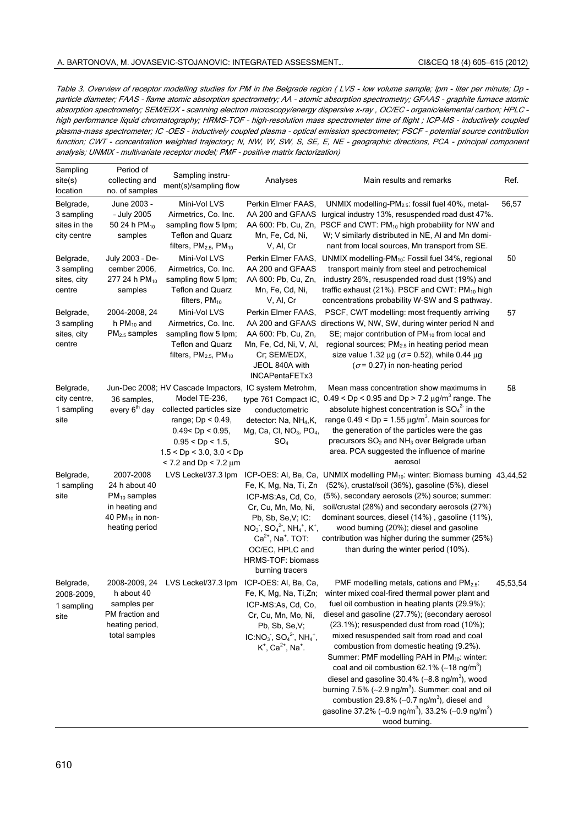#### A. BARTONOVA, M. JOVASEVIC-STOJANOVIC: INTEGRATED ASSESSMENT… CI&CEQ 18 (4) 605−615 (2012)

Table 3. Overview of receptor modelling studies for PM in the Belgrade region ( LVS - low volume sample; lpm - liter per minute; Dp particle diameter; FAAS - flame atomic absorption spectrometry; AA - atomic absorption spectrometry; GFAAS - graphite furnace atomic absorption spectrometry; SEM/EDX - scanning electron microscopy/energy dispersive x-ray , OC/EC – organic/elemental carbon; HPLC – high performance liquid chromatography; HRMS-TOF – high-resolution mass spectrometer time of flight ; ICP-MS - inductively coupled plasma-mass spectrometer; IC -OES - inductively coupled plasma - optical emission spectrometer; PSCF - potential source contribution function; CWT - concentration weighted trajectory; N, NW, W, SW, S, SE, E, NE – geographic directions, PCA - principal component analysis; UNMIX - multivariate receptor model; PMF - positive matrix factorization)

| Sampling<br>site(s)<br>location                        | Period of<br>collecting and<br>no. of samples                                                                | Sampling instru-<br>ment(s)/sampling flow                                                                                                                                                                                                    | Analyses                                                                                                                                                                                                                                                 | Main results and remarks                                                                                                                                                                                                                                                                                                                                                                                                                                                                                                                                                                                                                                                                                                                                                        | Ref.     |
|--------------------------------------------------------|--------------------------------------------------------------------------------------------------------------|----------------------------------------------------------------------------------------------------------------------------------------------------------------------------------------------------------------------------------------------|----------------------------------------------------------------------------------------------------------------------------------------------------------------------------------------------------------------------------------------------------------|---------------------------------------------------------------------------------------------------------------------------------------------------------------------------------------------------------------------------------------------------------------------------------------------------------------------------------------------------------------------------------------------------------------------------------------------------------------------------------------------------------------------------------------------------------------------------------------------------------------------------------------------------------------------------------------------------------------------------------------------------------------------------------|----------|
| Belgrade,<br>3 sampling<br>sites in the<br>city centre | June 2003 -<br>- July 2005<br>50 24 h PM <sub>10</sub><br>samples                                            | Mini-Vol LVS<br>Airmetrics, Co. Inc.<br>sampling flow 5 lpm;<br><b>Teflon and Quarz</b><br>filters, $PM2.5$ , $PM10$                                                                                                                         | Perkin Elmer FAAS,<br>AA 200 and GFAAS<br>Mn, Fe, Cd, Ni,<br>V, Al, Cr                                                                                                                                                                                   | UNMIX modelling-PM <sub>2.5</sub> : fossil fuel 40%, metal-<br>lurgical industry 13%, resuspended road dust 47%.<br>AA 600: Pb, Cu, Zn, PSCF and CWT: PM <sub>10</sub> high probability for NW and<br>W; V similarly distributed in NE, AI and Mn domi-<br>nant from local sources, Mn transport from SE.                                                                                                                                                                                                                                                                                                                                                                                                                                                                       | 56,57    |
| Belgrade,<br>3 sampling<br>sites, city<br>centre       | July 2003 - De-<br>cember 2006,<br>277 24 h PM <sub>10</sub><br>samples                                      | Mini-Vol LVS<br>Airmetrics, Co. Inc.<br>sampling flow 5 lpm;<br><b>Teflon and Quarz</b><br>filters, $PM_{10}$                                                                                                                                | Perkin Elmer FAAS,<br>AA 200 and GFAAS<br>AA 600: Pb, Cu, Zn,<br>Mn, Fe, Cd, Ni,<br>V, Al, Cr                                                                                                                                                            | UNMIX modelling-PM <sub>10</sub> : Fossil fuel 34%, regional<br>transport mainly from steel and petrochemical<br>industry 26%, resuspended road dust (19%) and<br>traffic exhaust (21%). PSCF and CWT: $PM_{10}$ high<br>concentrations probability W-SW and S pathway.                                                                                                                                                                                                                                                                                                                                                                                                                                                                                                         | 50       |
| Belgrade,<br>3 sampling<br>sites, city<br>centre       | 2004-2008, 24<br>h $PM_{10}$ and<br>$PM2.5$ samples                                                          | Mini-Vol LVS<br>Airmetrics, Co. Inc.<br>sampling flow 5 lpm;<br><b>Teflon and Quarz</b><br>filters, $PM2.5$ , $PM10$                                                                                                                         | Perkin Elmer FAAS,<br>AA 600: Pb, Cu, Zn,<br>Mn, Fe, Cd, Ni, V, Al,<br>Cr; SEM/EDX,<br>JEOL 840A with<br>INCAPentaFETx3                                                                                                                                  | PSCF, CWT modelling: most frequently arriving<br>AA 200 and GFAAS directions W, NW, SW, during winter period N and<br>SE; major contribution of PM <sub>10</sub> from local and<br>regional sources; PM <sub>2.5</sub> in heating period mean<br>size value 1.32 $\mu$ g ( $\sigma$ = 0.52), while 0.44 $\mu$ g<br>( $\sigma$ = 0.27) in non-heating period                                                                                                                                                                                                                                                                                                                                                                                                                     | 57       |
| Belgrade,<br>city centre,<br>1 sampling<br>site        | 36 samples.<br>every 6 <sup>th</sup> day                                                                     | Jun-Dec 2008; HV Cascade Impactors, IC system Metrohm,<br>Model TE-236,<br>collected particles size<br>range; $Dp < 0.49$ ,<br>$0.49 <$ Dp < 0.95,<br>$0.95 <$ Dp < 1.5,<br>$1.5 <$ Dp $<$ 3.0, 3.0 $<$ Dp<br>$<$ 7.2 and Dp $<$ 7.2 $\mu$ m | conductometric<br>detector: Na, $NH_4$ , K,<br>Mg, Ca, Cl, $NO3$ , PO <sub>4</sub> ,<br>SO <sub>4</sub>                                                                                                                                                  | Mean mass concentration show maximums in<br>type 761 Compact IC, $0.49 <$ Dp < 0.95 and Dp > 7.2 $\mu$ g/m <sup>3</sup> range. The<br>absolute highest concentration is $SO_4^{2-}$ in the<br>range $0.49 <$ Dp = 1.55 $\mu$ g/m <sup>3</sup> . Main sources for<br>the generation of the particles were the gas<br>precursors SO <sub>2</sub> and NH <sub>3</sub> over Belgrade urban<br>area. PCA suggested the influence of marine<br>aerosol                                                                                                                                                                                                                                                                                                                                | 58       |
| Belgrade,<br>1 sampling<br>site                        | 2007-2008<br>24 h about 40<br>$PM_{10}$ samples<br>in heating and<br>40 PM $_{10}$ in non-<br>heating period | LVS Leckel/37.3 lpm                                                                                                                                                                                                                          | ICP-OES: AI, Ba, Ca,<br>Fe, K, Mg, Na, Ti, Zn<br>ICP-MS:As, Cd, Co,<br>Cr, Cu, Mn, Mo, Ni,<br>Pb, Sb, Se, V; IC:<br>$NO_3$ , $SO_4^2$ , $NH_4^+$ , $K^+$ ,<br>$Ca2+$ , Na <sup>+</sup> . TOT:<br>OC/EC, HPLC and<br>HRMS-TOF: biomass<br>burning tracers | UNMIX modelling PM <sub>10</sub> : winter: Biomass burning 43,44,52<br>(52%), crustal/soil (36%), gasoline (5%), diesel<br>(5%), secondary aerosols (2%) source; summer:<br>soil/crustal (28%) and secondary aerosols (27%)<br>dominant sources, diesel (14%), gasoline (11%),<br>wood burning (20%); diesel and gasoline<br>contribution was higher during the summer (25%)<br>than during the winter period (10%).                                                                                                                                                                                                                                                                                                                                                            |          |
| Belgrade,<br>2008-2009,<br>1 sampling<br>site          | 2008-2009, 24<br>h about 40<br>samples per<br>PM fraction and<br>heating period,<br>total samples            | LVS Leckel/37.3 lpm                                                                                                                                                                                                                          | ICP-OES: AI, Ba, Ca,<br>Fe, K, Mg, Na, Ti,Zn;<br>ICP-MS:As, Cd, Co,<br>Cr, Cu, Mn, Mo, Ni,<br>Pb, Sb, Se, V;<br>IC: $NO_3$ , $SO_4^2$ , $NH_4^+$ ,<br>$K^*$ , Ca <sup>2+</sup> , Na <sup>+</sup> .                                                       | PMF modelling metals, cations and PM <sub>2.5</sub> :<br>winter mixed coal-fired thermal power plant and<br>fuel oil combustion in heating plants (29.9%);<br>diesel and gasoline (27.7%); (secondary aerosol<br>(23.1%); resuspended dust from road (10%);<br>mixed resuspended salt from road and coal<br>combustion from domestic heating (9.2%).<br>Summer: PMF modelling PAH in PM <sub>10</sub> : winter:<br>coal and oil combustion 62.1% (~18 ng/m <sup>3</sup> )<br>diesel and gasoline $30.4\%$ (~8.8 ng/m <sup>3</sup> ), wood<br>burning 7.5% ( $\sim$ 2.9 ng/m <sup>3</sup> ). Summer: coal and oil<br>combustion 29.8% ( $\sim$ 0.7 ng/m <sup>3</sup> ), diesel and<br>gasoline 37.2% (~0.9 ng/m <sup>3</sup> ), 33.2% (~0.9 ng/m <sup>3</sup> )<br>wood burning. | 45,53,54 |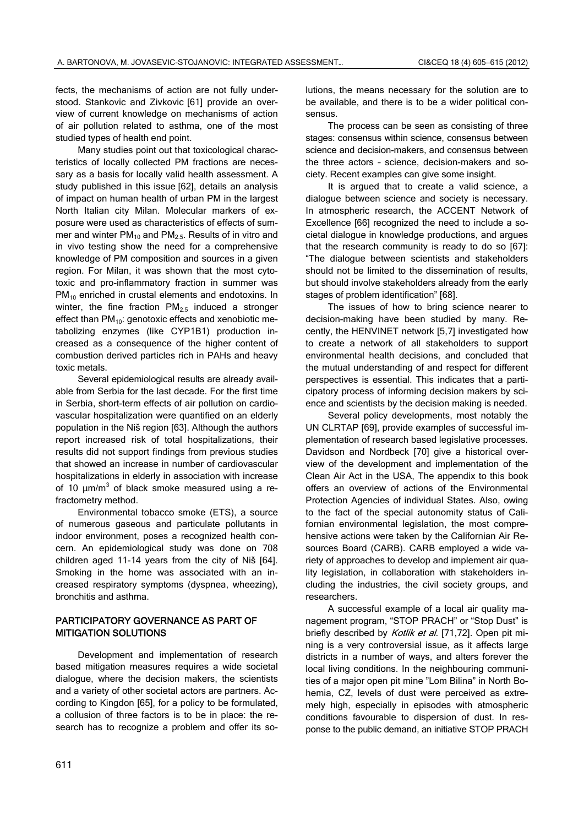fects, the mechanisms of action are not fully understood. Stankovic and Zivkovic [61] provide an overview of current knowledge on mechanisms of action of air pollution related to asthma, one of the most studied types of health end point.

Many studies point out that toxicological characteristics of locally collected PM fractions are necessary as a basis for locally valid health assessment. A study published in this issue [62], details an analysis of impact on human health of urban PM in the largest North Italian city Milan. Molecular markers of exposure were used as characteristics of effects of summer and winter  $PM_{10}$  and  $PM_{2.5}$ . Results of in vitro and in vivo testing show the need for a comprehensive knowledge of PM composition and sources in a given region. For Milan, it was shown that the most cytotoxic and pro-inflammatory fraction in summer was PM<sub>10</sub> enriched in crustal elements and endotoxins. In winter, the fine fraction  $PM_{2.5}$  induced a stronger effect than PM<sub>10</sub>: genotoxic effects and xenobiotic metabolizing enzymes (like CYP1B1) production increased as a consequence of the higher content of combustion derived particles rich in PAHs and heavy toxic metals.

Several epidemiological results are already available from Serbia for the last decade. For the first time in Serbia, short-term effects of air pollution on cardiovascular hospitalization were quantified on an elderly population in the Niš region [63]. Although the authors report increased risk of total hospitalizations, their results did not support findings from previous studies that showed an increase in number of cardiovascular hospitalizations in elderly in association with increase of 10  $\mu$ m/m<sup>3</sup> of black smoke measured using a refractometry method.

Environmental tobacco smoke (ETS), a source of numerous gaseous and particulate pollutants in indoor environment, poses a recognized health concern. An epidemiological study was done on 708 children aged 11-14 years from the city of Niš [64]. Smoking in the home was associated with an increased respiratory symptoms (dyspnea, wheezing), bronchitis and asthma.

# PARTICIPATORY GOVERNANCE AS PART OF MITIGATION SOLUTIONS

Development and implementation of research based mitigation measures requires a wide societal dialogue, where the decision makers, the scientists and a variety of other societal actors are partners. According to Kingdon [65], for a policy to be formulated, a collusion of three factors is to be in place: the research has to recognize a problem and offer its solutions, the means necessary for the solution are to be available, and there is to be a wider political consensus.

The process can be seen as consisting of three stages: consensus within science, consensus between science and decision-makers, and consensus between the three actors – science, decision-makers and society. Recent examples can give some insight.

It is argued that to create a valid science, a dialogue between science and society is necessary. In atmospheric research, the ACCENT Network of Excellence [66] recognized the need to include a societal dialogue in knowledge productions, and argues that the research community is ready to do so [67]: "The dialogue between scientists and stakeholders should not be limited to the dissemination of results, but should involve stakeholders already from the early stages of problem identification" [68].

The issues of how to bring science nearer to decision-making have been studied by many. Recently, the HENVINET network [5,7] investigated how to create a network of all stakeholders to support environmental health decisions, and concluded that the mutual understanding of and respect for different perspectives is essential. This indicates that a participatory process of informing decision makers by science and scientists by the decision making is needed.

Several policy developments, most notably the UN CLRTAP [69], provide examples of successful implementation of research based legislative processes. Davidson and Nordbeck [70] give a historical overview of the development and implementation of the Clean Air Act in the USA, The appendix to this book offers an overview of actions of the Environmental Protection Agencies of individual States. Also, owing to the fact of the special autonomity status of Californian environmental legislation, the most comprehensive actions were taken by the Californian Air Resources Board (CARB). CARB employed a wide variety of approaches to develop and implement air quality legislation, in collaboration with stakeholders including the industries, the civil society groups, and researchers.

A successful example of a local air quality management program, "STOP PRACH" or "Stop Dust" is briefly described by Kotlik et al. [71,72]. Open pit mining is a very controversial issue, as it affects large districts in a number of ways, and alters forever the local living conditions. In the neighbouring communities of a major open pit mine "Lom Bilina" in North Bohemia, CZ, levels of dust were perceived as extremely high, especially in episodes with atmospheric conditions favourable to dispersion of dust. In response to the public demand, an initiative STOP PRACH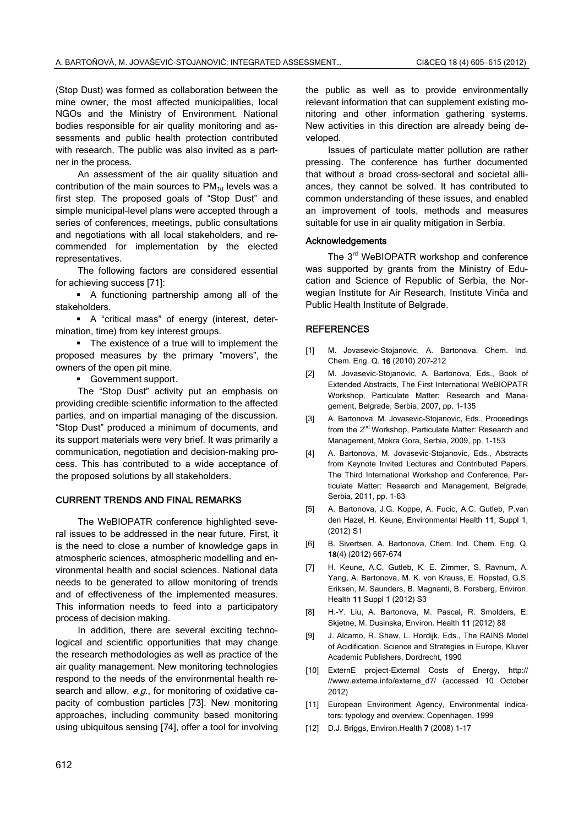(Stop Dust) was formed as collaboration between the mine owner, the most affected municipalities, local NGOs and the Ministry of Environment. National bodies responsible for air quality monitoring and assessments and public health protection contributed with research. The public was also invited as a partner in the process.

An assessment of the air quality situation and contribution of the main sources to  $PM_{10}$  levels was a first step. The proposed goals of "Stop Dust" and simple municipal-level plans were accepted through a series of conferences, meetings, public consultations and negotiations with all local stakeholders, and recommended for implementation by the elected representatives.

The following factors are considered essential for achieving success [71]:

 A functioning partnership among all of the stakeholders.

 A "critical mass" of energy (interest, determination, time) from key interest groups.

• The existence of a true will to implement the proposed measures by the primary "movers", the owners of the open pit mine.

**Government support.** 

The "Stop Dust" activity put an emphasis on providing credible scientific information to the affected parties, and on impartial managing of the discussion. "Stop Dust" produced a minimum of documents, and its support materials were very brief. It was primarily a communication, negotiation and decision-making process. This has contributed to a wide acceptance of the proposed solutions by all stakeholders.

# CURRENT TRENDS AND FINAL REMARKS

The WeBIOPATR conference highlighted several issues to be addressed in the near future. First, it is the need to close a number of knowledge gaps in atmospheric sciences, atmospheric modelling and environmental health and social sciences. National data needs to be generated to allow monitoring of trends and of effectiveness of the implemented measures. This information needs to feed into a participatory process of decision making.

In addition, there are several exciting technological and scientific opportunities that may change the research methodologies as well as practice of the air quality management. New monitoring technologies respond to the needs of the environmental health research and allow, e.g., for monitoring of oxidative capacity of combustion particles [73]. New monitoring approaches, including community based monitoring using ubiquitous sensing [74], offer a tool for involving the public as well as to provide environmentally relevant information that can supplement existing monitoring and other information gathering systems. New activities in this direction are already being developed.

Issues of particulate matter pollution are rather pressing. The conference has further documented that without a broad cross-sectoral and societal alliances, they cannot be solved. It has contributed to common understanding of these issues, and enabled an improvement of tools, methods and measures suitable for use in air quality mitigation in Serbia.

## Acknowledgements

The 3<sup>rd</sup> WeBIOPATR workshop and conference was supported by grants from the Ministry of Education and Science of Republic of Serbia, the Norwegian Institute for Air Research, Institute Vinča and Public Health Institute of Belgrade.

# **REFERENCES**

- [1] M. Jovasevic-Stojanovic, A. Bartonova, Chem. Ind. Chem. Eng. Q. 16 (2010) 207-212
- [2] M. Jovasevic-Stojanovic, A. Bartonova, Eds., Book of Extended Abstracts, The First International WeBIOPATR Workshop, Particulate Matter: Research and Management, Belgrade, Serbia, 2007, pp. 1-135
- [3] A. Bartonova, M. Jovasevic-Stojanovic, Eds., Proceedings from the 2<sup>nd</sup> Workshop, Particulate Matter: Research and Management, Mokra Gora, Serbia, 2009, pp. 1-153
- [4] A. Bartonova, M. Jovasevic-Stojanovic, Eds., Abstracts from Keynote Invited Lectures and Contributed Papers, The Third International Workshop and Conference, Particulate Matter: Research and Management, Belgrade, Serbia, 2011, pp. 1-63
- [5] A. Bartonova, J.G. Koppe, A. Fucic, A.C. Gutleb, P.van den Hazel, H. Keune, Environmental Health 11, Suppl 1, (2012) S1
- [6] B. Sivertsen, A. Bartonova, Chem. Ind. Chem. Eng. Q. 18(4) (2012) 667-674
- [7] H. Keune, A.C. Gutleb, K. E. Zimmer, S. Ravnum, A. Yang, A. Bartonova, M. K. von Krauss, E. Ropstad, G.S. Eriksen, M. Saunders, B. Magnanti, B. Forsberg, Environ. Health 11 Suppl 1 (2012) S3
- [8] H.-Y. Liu, A. Bartonova, M. Pascal, R. Smolders, E. Skjetne, M. Dusinska, Environ. Health 11 (2012) 88
- [9] J. Alcamo, R. Shaw, L. Hordijk, Eds., The RAINS Model of Acidification. Science and Strategies in Europe, Kluver Academic Publishers, Dordrecht, 1990
- [10] ExternE project-External Costs of Energy, http:// //www.externe.info/externe\_d7/ (accessed 10 October 2012)
- [11] European Environment Agency, Environmental indicators: typology and overview, Copenhagen, 1999
- [12] D.J. Briggs, Environ.Health 7 (2008) 1-17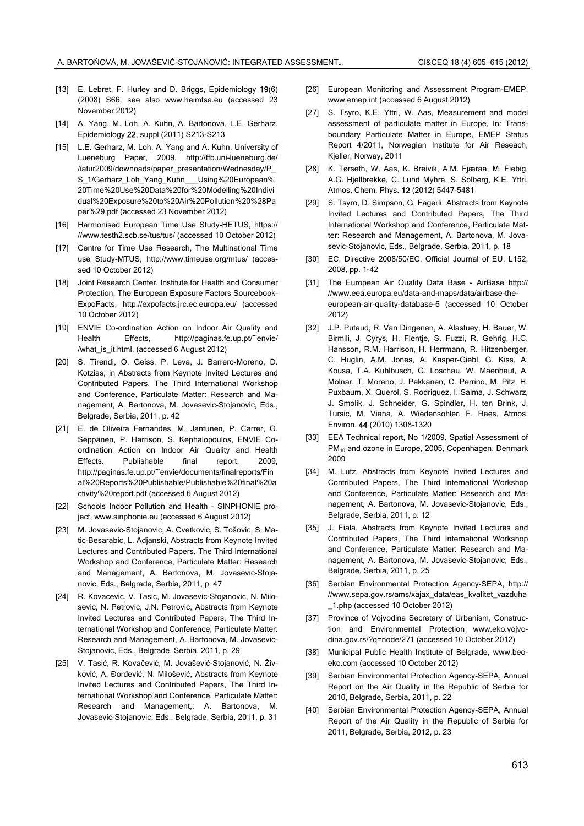- [13] E. Lebret, F. Hurley and D. Briggs, Epidemiology 19(6) (2008) S66; see also www.heimtsa.eu (accessed 23 November 2012)
- [14] A. Yang, M. Loh, A. Kuhn, A. Bartonova, L.E. Gerharz, Epidemiology 22, suppl (2011) S213-S213
- [15] L.E. Gerharz, M. Loh, A. Yang and A. Kuhn, University of Lueneburg Paper, 2009, http://ffb.uni-lueneburg.de/ /iatur2009/downoads/paper\_presentation/Wednesday/P\_ S 1/Gerharz Loh Yang Kuhn Using%20European% 20Time%20Use%20Data%20for%20Modelling%20Indivi dual%20Exposure%20to%20Air%20Pollution%20%28Pa per%29.pdf (accessed 23 November 2012)
- [16] Harmonised European Time Use Study-HETUS, https:// //www.testh2.scb.se/tus/tus/ (accessed 10 October 2012)
- [17] Centre for Time Use Research, The Multinational Time use Study-MTUS, http://www.timeuse.org/mtus/ (accessed 10 October 2012)
- [18] Joint Research Center, Institute for Health and Consumer Protection, The European Exposure Factors Sourcebook-ExpoFacts, http://expofacts.jrc.ec.europa.eu/ (accessed 10 October 2012)
- [19] ENVIE Co-ordination Action on Indoor Air Quality and Health Effects, http://paginas.fe.up.pt/~envie/ /what\_is\_it.html, (accessed 6 August 2012)
- [20] S. Tirendi, O. Geiss, P. Leva, J. Barrero-Moreno, D. Kotzias, in Abstracts from Keynote Invited Lectures and Contributed Papers, The Third International Workshop and Conference, Particulate Matter: Research and Management, A. Bartonova, M. Jovasevic-Stojanovic, Eds., Belgrade, Serbia, 2011, p. 42
- [21] E. de Oliveira Fernandes, M. Jantunen, P. Carrer, O. Seppänen, P. Harrison, S. Kephalopoulos, ENVIE Coordination Action on Indoor Air Quality and Health Effects. Publishable final report, 2009, http://paginas.fe.up.pt/~envie/documents/finalreports/Fin al%20Reports%20Publishable/Publishable%20final%20a ctivity%20report.pdf (accessed 6 August 2012)
- [22] Schools Indoor Pollution and Health SINPHONIE project, www.sinphonie.eu (accessed 6 August 2012)
- [23] M. Jovasevic-Stojanovic, A. Cvetkovic, S. Tošovic, S. Matic-Besarabic, L. Adjanski, Abstracts from Keynote Invited Lectures and Contributed Papers, The Third International Workshop and Conference, Particulate Matter: Research and Management, A. Bartonova, M. Jovasevic-Stojanovic, Eds., Belgrade, Serbia, 2011, p. 47
- [24] R. Kovacevic, V. Tasic, M. Jovasevic-Stojanovic, N. Milosevic, N. Petrovic, J.N. Petrovic, Abstracts from Keynote Invited Lectures and Contributed Papers, The Third International Workshop and Conference, Particulate Matter: Research and Management, A. Bartonova, M. Jovasevic-Stojanovic, Eds., Belgrade, Serbia, 2011, p. 29
- [25] V. Tasić, R. Kovačević, M. Jovašević-Stojanović, N. Živković, A. Đorđević, N. Milošević, Abstracts from Keynote Invited Lectures and Contributed Papers, The Third International Workshop and Conference, Particulate Matter: Research and Management,: A. Bartonova, M. Jovasevic-Stojanovic, Eds., Belgrade, Serbia, 2011, p. 31
- [26] European Monitoring and Assessment Program-EMEP, www.emep.int (accessed 6 August 2012)
- [27] S. Tsyro, K.E. Yttri, W. Aas, Measurement and model assessment of particulate matter in Europe, In: Transboundary Particulate Matter in Europe, EMEP Status Report 4/2011, Norwegian Institute for Air Reseach, Kjeller, Norway, 2011
- [28] K. Tørseth, W. Aas, K. Breivik, A.M. Fjæraa, M. Fiebig, A.G. Hjellbrekke, C. Lund Myhre, S. Solberg, K.E. Yttri, Atmos. Chem. Phys. 12 (2012) 5447-5481
- [29] S. Tsyro, D. Simpson, G. Fagerli, Abstracts from Keynote Invited Lectures and Contributed Papers, The Third International Workshop and Conference, Particulate Matter: Research and Management, A. Bartonova, M. Jovasevic-Stojanovic, Eds., Belgrade, Serbia, 2011, p. 18
- [30] EC, Directive 2008/50/EC, Official Journal of EU, L152, 2008, pp. 1-42
- [31] The European Air Quality Data Base AirBase http:// //www.eea.europa.eu/data-and-maps/data/airbase-theeuropean-air-quality-database-6 (accessed 10 October 2012)
- [32] J.P. Putaud, R. Van Dingenen, A. Alastuey, H. Bauer, W. Birmili, J. Cyrys, H. Flentje, S. Fuzzi, R. Gehrig, H.C. Hansson, R.M. Harrison, H. Herrmann, R. Hitzenberger, C. Huglin, A.M. Jones, A. Kasper-Giebl, G. Kiss, A, Kousa, T.A. Kuhlbusch, G. Loschau, W. Maenhaut, A. Molnar, T. Moreno, J. Pekkanen, C. Perrino, M. Pitz, H. Puxbaum, X. Querol, S. Rodriguez, I. Salma, J. Schwarz, J. Smolik, J. Schneider, G. Spindler, H. ten Brink, J. Tursic, M. Viana, A. Wiedensohler, F. Raes, Atmos. Environ. 44 (2010) 1308–1320
- [33] EEA Technical report, No 1/2009, Spatial Assessment of PM<sub>10</sub> and ozone in Europe, 2005, Copenhagen, Denmark 2009
- [34] M. Lutz, Abstracts from Keynote Invited Lectures and Contributed Papers, The Third International Workshop and Conference, Particulate Matter: Research and Management, A. Bartonova, M. Jovasevic-Stojanovic, Eds., Belgrade, Serbia, 2011, p. 12
- [35] J. Fiala, Abstracts from Keynote Invited Lectures and Contributed Papers, The Third International Workshop and Conference, Particulate Matter: Research and Management, A. Bartonova, M. Jovasevic-Stojanovic, Eds., Belgrade, Serbia, 2011, p. 25
- [36] Serbian Environmental Protection Agency-SEPA, http:// //www.sepa.gov.rs/ams/xajax\_data/eas\_kvalitet\_vazduha \_1.php (accessed 10 October 2012)
- [37] Province of Vojvodina Secretary of Urbanism, Construction and Environmental Protection www.eko.vojvodina.gov.rs/?q=node/271 (accessed 10 October 2012)
- [38] Municipal Public Health Institute of Belgrade, www.beoeko.com (accessed 10 October 2012)
- [39] Serbian Environmental Protection Agency-SEPA, Annual Report on the Air Quality in the Republic of Serbia for 2010, Belgrade, Serbia, 2011, p. 22
- [40] Serbian Environmental Protection Agency-SEPA, Annual Report of the Air Quality in the Republic of Serbia for 2011, Belgrade, Serbia, 2012, p. 23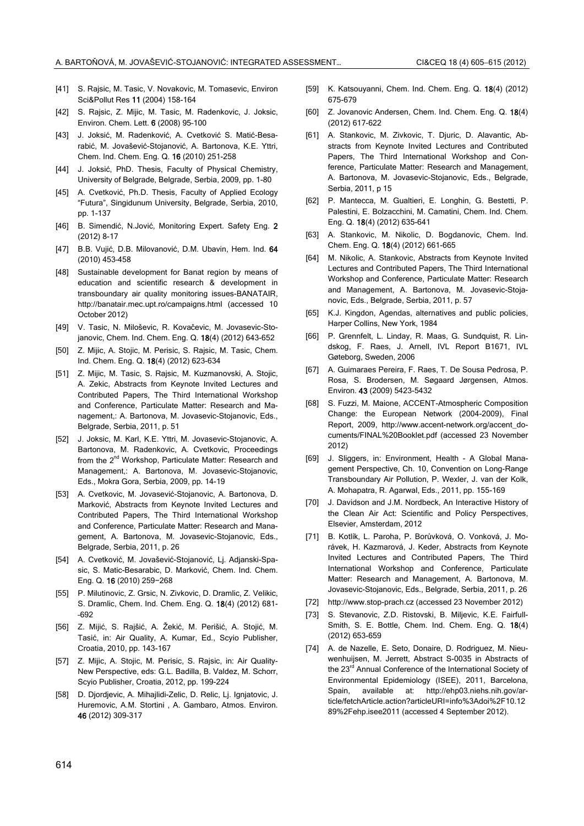- [41] S. Rajsic, M. Tasic, V. Novakovic, M. Tomasevic, Environ Sci&Pollut Res 11 (2004) 158-164
- [42] S. Rajsic, Z. Mijic, M. Tasic, M. Radenkovic, J. Joksic, Environ. Chem. Lett. 6 (2008) 95–100
- [43] J. Joksić, M. Radenković, A. Cvetković S. Matić-Besarabić, M. Jovašević-Stojanović, A. Bartonova, K.E. Yttri, Chem. Ind. Chem. Eng. Q. 16 (2010) 251-258
- [44] J. Joksić, PhD. Thesis, Faculty of Physical Chemistry, University of Belgrade, Belgrade, Serbia, 2009, pp. 1-80
- [45] A. Cvetković, Ph.D. Thesis, Faculty of Applied Ecology "Futura", Singidunum University, Belgrade, Serbia, 2010, pp. 1-137
- [46] B. Simendić, N.Jović, Monitoring Expert. Safety Eng. 2 (2012) 8-17
- [47] B.B. Vujić, D.B. Milovanović, D.M. Ubavin, Hem. Ind. 64 (2010) 453–458
- [48] Sustainable development for Banat region by means of education and scientific research & development in transboundary air quality monitoring issues-BANATAIR, http://banatair.mec.upt.ro/campaigns.html (accessed 10 October 2012)
- [49] V. Tasic, N. Miloševic, R. Kovačevic, M. Jovasevic-Stojanovic, Chem. Ind. Chem. Eng. Q. 18(4) (2012) 643-652
- [50] Z. Mijic, A. Stojic, M. Perisic, S. Rajsic, M. Tasic, Chem. Ind. Chem. Eng. Q. 18(4) (2012) 623-634
- [51] Z. Mijic, M. Tasic, S. Rajsic, M. Kuzmanovski, A. Stojic, A. Zekic, Abstracts from Keynote Invited Lectures and Contributed Papers, The Third International Workshop and Conference, Particulate Matter: Research and Management,: A. Bartonova, M. Jovasevic-Stojanovic, Eds., Belgrade, Serbia, 2011, p. 51
- [52] J. Joksic, M. Karl, K.E. Yttri, M. Jovasevic-Stojanovic, A. Bartonova, M. Radenkovic, A. Cvetkovic, Proceedings from the 2<sup>nd</sup> Workshop, Particulate Matter: Research and Management,: A. Bartonova, M. Jovasevic-Stojanovic, Eds., Mokra Gora, Serbia, 2009, pp. 14-19
- [53] A. Cvetkovic, M. Jovasević-Stojanovic, A. Bartonova, D. Marković, Abstracts from Keynote Invited Lectures and Contributed Papers, The Third International Workshop and Conference, Particulate Matter: Research and Management, A. Bartonova, M. Jovasevic-Stojanovic, Eds., Belgrade, Serbia, 2011, p. 26
- [54] A. Cvetković, M. Jovašević-Stojanović, Lj. Adjanski-Spasic, S. Matic-Besarabic, D. Marković, Chem. Ind. Chem. Eng. Q. 16 (2010) 259−268
- [55] P. Milutinovic, Z. Grsic, N. Zivkovic, D. Dramlic, Z. Velikic, S. Dramlic, Chem. Ind. Chem. Eng. Q. 18(4) (2012) 681- –692
- [56] Z. Mijić, S. Rajšić, A. Žekić, M. Perišić, A. Stojić, M. Tasić, in: Air Quality, A. Kumar, Ed., Scyio Publisher, Croatia, 2010, pp. 143-167
- [57] Z. Mijic, A. Stojic, M. Perisic, S. Rajsic, in: Air Quality-New Perspective, eds: G.L. Badilla, B. Valdez, M. Schorr, Scyio Publisher, Croatia, 2012, pp. 199-224
- [58] D. Djordjevic, A. Mihajlidi-Zelic, D. Relic, Lj. Ignjatovic, J. Huremovic, A.M. Stortini , A. Gambaro, Atmos. Environ. 46 (2012) 309-317
- [59] K. Katsouyanni, Chem. Ind. Chem. Eng. Q. 18(4) (2012) 675-679
- [60] Z. Jovanovic Andersen, Chem. Ind. Chem. Eng. Q. 18(4) (2012) 617-622
- [61] A. Stankovic, M. Zivkovic, T. Djuric, D. Alavantic, Abstracts from Keynote Invited Lectures and Contributed Papers, The Third International Workshop and Conference, Particulate Matter: Research and Management, A. Bartonova, M. Jovasevic-Stojanovic, Eds., Belgrade, Serbia, 2011, p 15
- [62] P. Mantecca, M. Gualtieri, E. Longhin, G. Bestetti, P. Palestini, E. Bolzacchini, M. Camatini, Chem. Ind. Chem. Eng. Q. 18(4) (2012) 635-641
- [63] A. Stankovic, M. Nikolic, D. Bogdanovic, Chem. Ind. Chem. Eng. Q. 18(4) (2012) 661-665
- [64] M. Nikolic, A. Stankovic, Abstracts from Keynote Invited Lectures and Contributed Papers, The Third International Workshop and Conference, Particulate Matter: Research and Management, A. Bartonova, M. Jovasevic-Stojanovic, Eds., Belgrade, Serbia, 2011, p. 57
- [65] K.J. Kingdon, Agendas, alternatives and public policies, Harper Collins, New York, 1984
- [66] P. Grennfelt, L. Linday, R. Maas, G. Sundquist, R. Lindskog, F. Raes, J. Arnell, IVL Report B1671, IVL Gøteborg, Sweden, 2006
- [67] A. Guimaraes Pereira, F. Raes, T. De Sousa Pedrosa, P. Rosa, S. Brodersen, M. Søgaard Jørgensen, Atmos. Environ. 43 (2009) 5423-5432
- [68] S. Fuzzi, M. Maione, ACCENT-Atmospheric Composition Change: the European Network (2004-2009), Final Report, 2009, http://www.accent-network.org/accent\_documents/FINAL%20Booklet.pdf (accessed 23 November 2012)
- [69] J. Sliggers, in: Environment, Health A Global Management Perspective, Ch. 10, Convention on Long-Range Transboundary Air Pollution, P. Wexler, J. van der Kolk, A. Mohapatra, R. Agarwal, Eds., 2011, pp. 155-169
- [70] J. Davidson and J.M. Nordbeck, An Interactive History of the Clean Air Act: Scientific and Policy Perspectives, Elsevier, Amsterdam, 2012
- [71] B. Kotlík, L. Paroha, P. Borůvková, O. Vonková, J. Morávek, H. Kazmarová, J. Keder, Abstracts from Keynote Invited Lectures and Contributed Papers, The Third International Workshop and Conference, Particulate Matter: Research and Management, A. Bartonova, M. Jovasevic-Stojanovic, Eds., Belgrade, Serbia, 2011, p. 26
- [72] http://www.stop-prach.cz (accessed 23 November 2012)
- [73] S. Stevanovic, Z.D. Ristovski, B. Milievic, K.E. Fairfull-Smith, S. E. Bottle, Chem. Ind. Chem. Eng. Q. 18(4) (2012) 653-659
- [74] A. de Nazelle, E. Seto, Donaire, D. Rodriguez, M. Nieuwenhuijsen, M. Jerrett, Abstract S-0035 in Abstracts of the 23<sup>rd</sup> Annual Conference of the International Society of Environmental Epidemiology (ISEE), 2011, Barcelona, Spain, available at: http://ehp03.niehs.nih.gov/article/fetchArticle.action?articleURI=info%3Adoi%2F10.12 89%2Fehp.isee2011 (accessed 4 September 2012).